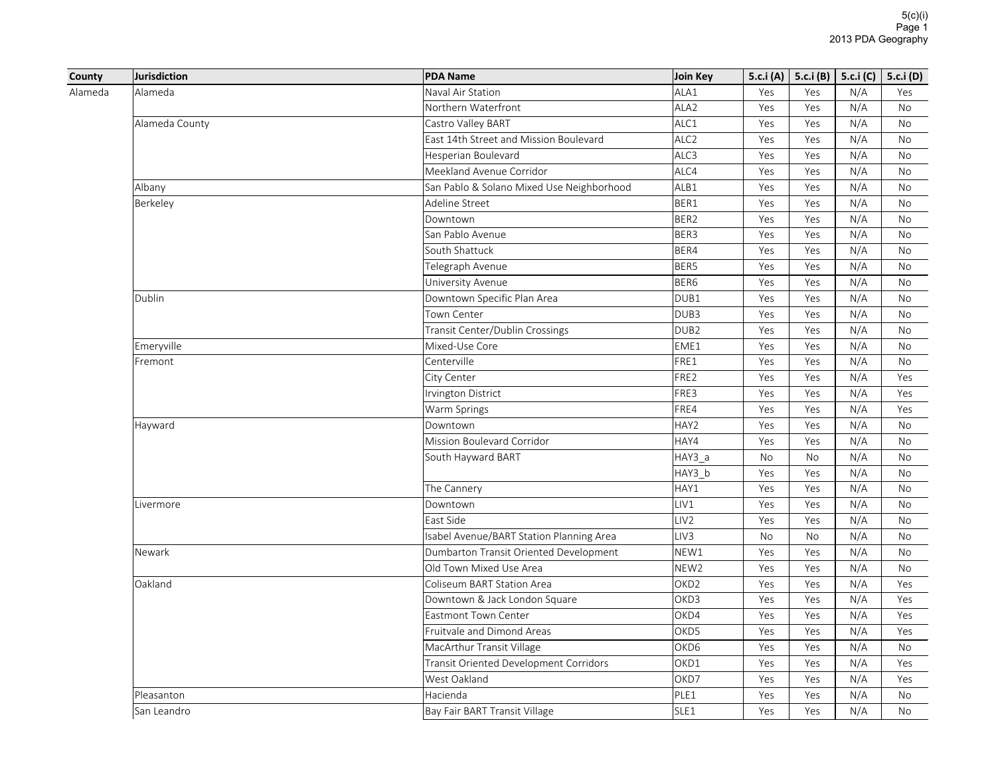|         | Jurisdiction   | <b>PDA Name</b>                           | Join Key         |           | 5.c.i (A)   5.c.i (B)   5.c.i (C)   5.c.i (D) |     |           |
|---------|----------------|-------------------------------------------|------------------|-----------|-----------------------------------------------|-----|-----------|
|         | Alameda        | Naval Air Station                         | ALA1             | Yes       | Yes                                           | N/A | Yes       |
|         |                | Northern Waterfront                       | ALA <sub>2</sub> | Yes       | Yes                                           | N/A | <b>No</b> |
|         | Alameda County | Castro Valley BART                        | ALC1             | Yes       | Yes                                           | N/A | No        |
|         |                | East 14th Street and Mission Boulevard    | ALC <sub>2</sub> | Yes       | Yes                                           | N/A | <b>No</b> |
|         |                | Hesperian Boulevard                       | ALC3             | Yes       | Yes                                           | N/A | No        |
|         |                | Meekland Avenue Corridor                  | ALC4             | Yes       | Yes                                           | N/A | No        |
|         | Albany         | San Pablo & Solano Mixed Use Neighborhood | ALB1             | Yes       | Yes                                           | N/A | <b>No</b> |
|         | Berkeley       | Adeline Street                            | BER1             | Yes       | Yes                                           | N/A | <b>No</b> |
|         |                | Downtown                                  | BER2             | Yes       | Yes                                           | N/A | No        |
|         |                | San Pablo Avenue                          | BER3             | Yes       | Yes                                           | N/A | No        |
| Alameda |                | South Shattuck                            | BER4             | Yes       | Yes                                           | N/A | No        |
|         |                | Telegraph Avenue                          | BER5             | Yes       | Yes                                           | N/A | <b>No</b> |
|         |                | University Avenue                         | BER6             | Yes       | Yes                                           | N/A | No        |
|         | Dublin         | Downtown Specific Plan Area               | DUB1             | Yes       | Yes                                           | N/A | No        |
|         |                | Town Center                               | DUB3             | Yes       | Yes                                           | N/A | No        |
|         |                | Transit Center/Dublin Crossings           | DUB <sub>2</sub> | Yes       | Yes                                           | N/A | No        |
|         | Emeryville     | Mixed-Use Core                            | EME1             | Yes       | Yes                                           | N/A | <b>No</b> |
|         | Fremont        | Centerville                               | FRE1             | Yes       | Yes                                           | N/A | No        |
|         |                | City Center                               | FRE2             | Yes       | Yes                                           | N/A | Yes       |
|         |                | Irvington District                        | FRE3             | Yes       | Yes                                           | N/A | Yes       |
|         |                | Warm Springs                              | FRE4             | Yes       | Yes                                           | N/A | Yes       |
|         | Hayward        | Downtown                                  | HAY2             | Yes       | Yes                                           | N/A | <b>No</b> |
|         |                | Mission Boulevard Corridor                | HAY4             | Yes       | Yes                                           | N/A | <b>No</b> |
|         |                | South Hayward BART                        | $HAY3_a$         | No        | No                                            | N/A | No        |
|         |                |                                           | HAY3 b           | Yes       | Yes                                           | N/A | <b>No</b> |
|         |                | The Cannery                               | HAY1             | Yes       | Yes                                           | N/A | No        |
|         | Livermore      | Downtown                                  | LIV1             | Yes       | Yes                                           | N/A | <b>No</b> |
|         |                | East Side                                 | LIV <sub>2</sub> | Yes       | Yes                                           | N/A | No        |
|         |                | Isabel Avenue/BART Station Planning Area  | LIV <sub>3</sub> | <b>No</b> | <b>No</b>                                     | N/A | <b>No</b> |
|         | Newark         | Dumbarton Transit Oriented Development    | NEW1             | Yes       | Yes                                           | N/A | <b>No</b> |
|         |                | Old Town Mixed Use Area                   | NEW <sub>2</sub> | Yes       | Yes                                           | N/A | No        |
|         | Oakland        | Coliseum BART Station Area                | OKD <sub>2</sub> | Yes       | Yes                                           | N/A | Yes       |
|         |                | Downtown & Jack London Square             | OKD3             | Yes       | Yes                                           | N/A | Yes       |
|         |                | <b>Eastmont Town Center</b>               | OKD4             | Yes       | Yes                                           | N/A | Yes       |
|         |                | Fruitvale and Dimond Areas                | OKD5             | Yes       | Yes                                           | N/A | Yes       |
|         |                | MacArthur Transit Village                 | OKD6             | Yes       | Yes                                           | N/A | No        |
|         |                | Transit Oriented Development Corridors    | OKD1             | Yes       | Yes                                           | N/A | Yes       |
|         |                | West Oakland                              | OKD7             | Yes       | Yes                                           | N/A | Yes       |
|         | Pleasanton     | Hacienda                                  | PLE1             | Yes       | Yes                                           | N/A | <b>No</b> |
|         | San Leandro    | Bay Fair BART Transit Village             | SLE1             | Yes       | Yes                                           | N/A | <b>No</b> |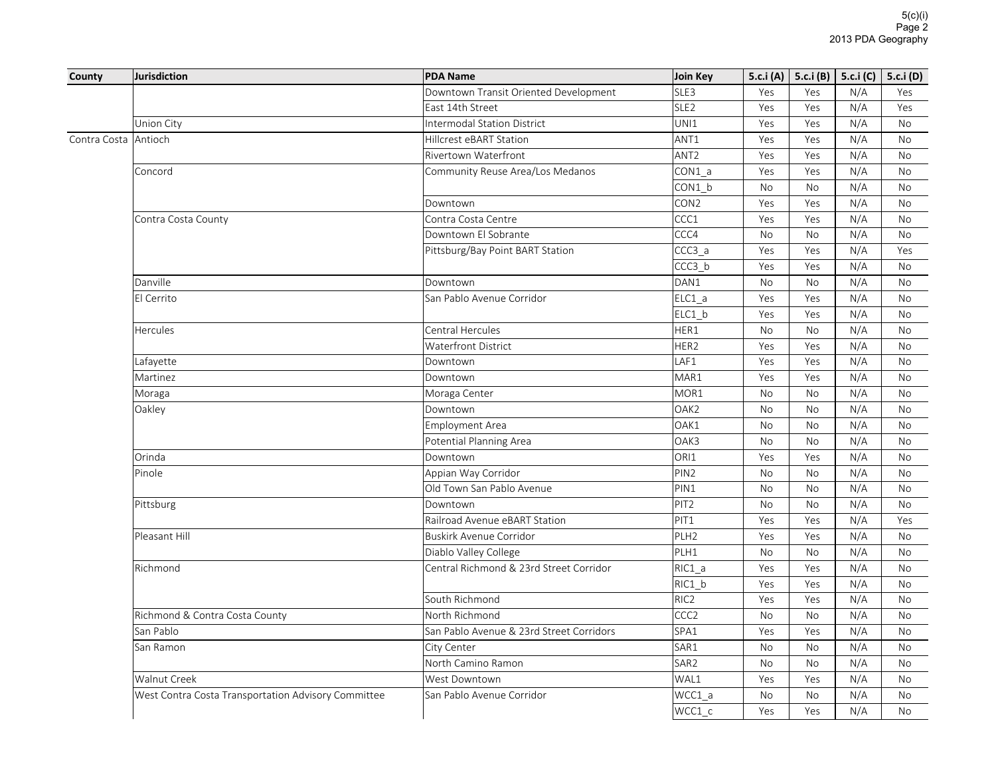| County       | <b>Jurisdiction</b>                                 | <b>PDA Name</b>                          | <b>Join Key</b>  | 5.c.i (A) | 5.c.i(B)  | 5.c.i $(C)$ | 5.c.i (D) |
|--------------|-----------------------------------------------------|------------------------------------------|------------------|-----------|-----------|-------------|-----------|
|              |                                                     | Downtown Transit Oriented Development    | SLE3             | Yes       | Yes       | N/A         | Yes       |
|              |                                                     | East 14th Street                         | SLE <sub>2</sub> | Yes       | Yes       | N/A         | Yes       |
|              | Union City                                          | <b>Intermodal Station District</b>       | UNI1             | Yes       | Yes       | N/A         | <b>No</b> |
| Contra Costa | Antioch                                             | Hillcrest eBART Station                  | ANT1             | Yes       | Yes       | N/A         | No        |
|              |                                                     | <b>Rivertown Waterfront</b>              | ANT <sub>2</sub> | Yes       | Yes       | N/A         | <b>No</b> |
|              | Concord                                             | Community Reuse Area/Los Medanos         | CON1 a           | Yes       | Yes       | N/A         | No        |
|              |                                                     |                                          | CON1 b           | No        | No        | N/A         | No        |
|              |                                                     | Downtown                                 | CON <sub>2</sub> | Yes       | Yes       | N/A         | No        |
|              | Contra Costa County                                 | Contra Costa Centre                      | CCC1             | Yes       | Yes       | N/A         | No        |
|              |                                                     | Downtown El Sobrante                     | CCC4             | No        | <b>No</b> | N/A         | <b>No</b> |
|              |                                                     | Pittsburg/Bay Point BART Station         | CCC3 a           | Yes       | Yes       | N/A         | Yes       |
|              |                                                     |                                          | $CCC3_b$         | Yes       | Yes       | N/A         | <b>No</b> |
|              | Danville                                            | Downtown                                 | DAN1             | No        | No        | N/A         | <b>No</b> |
|              | El Cerrito                                          | San Pablo Avenue Corridor                | $ELC1_a$         | Yes       | Yes       | N/A         | No        |
|              |                                                     |                                          | ELC1 b           | Yes       | Yes       | N/A         | <b>No</b> |
|              | Hercules                                            | Central Hercules                         | HER1             | No        | No        | N/A         | No        |
|              |                                                     | <b>Waterfront District</b>               | HER2             | Yes       | Yes       | N/A         | <b>No</b> |
|              | Lafayette                                           | Downtown                                 | LAF1             | Yes       | Yes       | N/A         | <b>No</b> |
|              | Martinez                                            | Downtown                                 | MAR1             | Yes       | Yes       | N/A         | <b>No</b> |
|              | Moraga                                              | Moraga Center                            | MOR1             | No        | No        | N/A         | No        |
|              | Oakley                                              | Downtown                                 | OAK <sub>2</sub> | No        | No        | N/A         | No        |
|              |                                                     | <b>Employment Area</b>                   | OAK1             | No        | No        | N/A         | No        |
|              |                                                     | Potential Planning Area                  | OAK3             | No        | No        | N/A         | <b>No</b> |
|              | Orinda                                              | Downtown                                 | ORI1             | Yes       | Yes       | N/A         | <b>No</b> |
|              | Pinole                                              | Appian Way Corridor                      | PIN <sub>2</sub> | No        | <b>No</b> | N/A         | <b>No</b> |
|              |                                                     | Old Town San Pablo Avenue                | PIN1             | <b>No</b> | <b>No</b> | N/A         | <b>No</b> |
|              | Pittsburg                                           | Downtown                                 | PIT <sub>2</sub> | No        | No        | N/A         | No        |
|              |                                                     | Railroad Avenue eBART Station            | PIT1             | Yes       | Yes       | N/A         | Yes       |
|              | Pleasant Hill                                       | <b>Buskirk Avenue Corridor</b>           | PLH <sub>2</sub> | Yes       | Yes       | N/A         | <b>No</b> |
|              |                                                     | Diablo Valley College                    | PLH1             | No        | No        | N/A         | No        |
|              | Richmond                                            | Central Richmond & 23rd Street Corridor  | $RIC1_a$         | Yes       | Yes       | N/A         | <b>No</b> |
|              |                                                     |                                          | RIC1 b           | Yes       | Yes       | N/A         | No        |
|              |                                                     | South Richmond                           | RIC <sub>2</sub> | Yes       | Yes       | N/A         | <b>No</b> |
|              | Richmond & Contra Costa County                      | North Richmond                           | CCC <sub>2</sub> | No        | No        | N/A         | <b>No</b> |
|              | San Pablo                                           | San Pablo Avenue & 23rd Street Corridors | SPA1             | Yes       | Yes       | N/A         | No        |
|              | San Ramon                                           | City Center                              | SAR1             | No        | No        | N/A         | <b>No</b> |
|              |                                                     | North Camino Ramon                       | SAR <sub>2</sub> | No        | No        | N/A         | <b>No</b> |
|              | Walnut Creek                                        | West Downtown                            | WAL1             | Yes       | Yes       | N/A         | No        |
|              | West Contra Costa Transportation Advisory Committee | San Pablo Avenue Corridor                | WCC1 a           | No        | No        | N/A         | No        |
|              |                                                     |                                          | $WCC1_c$         | Yes       | Yes       | N/A         | <b>No</b> |
|              |                                                     |                                          |                  |           |           |             |           |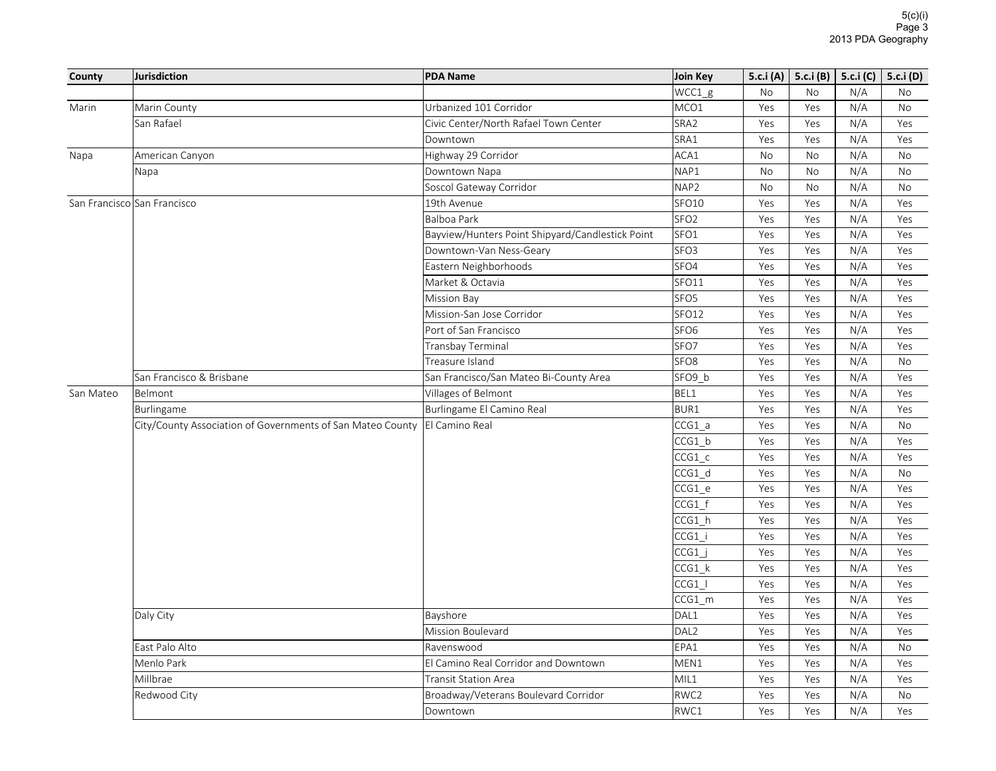| County    | Jurisdiction                                               | <b>PDA Name</b>                                  | Join Key         |           | 5.c.i (A)   5.c.i (B)   5.c.i (C) |     | 5.c.i (D) |
|-----------|------------------------------------------------------------|--------------------------------------------------|------------------|-----------|-----------------------------------|-----|-----------|
|           |                                                            |                                                  | WCC1 g           | No        | No                                | N/A | No        |
| Marin     | Marin County                                               | Urbanized 101 Corridor                           | MCO1             | Yes       | Yes                               | N/A | <b>No</b> |
|           | San Rafael                                                 | Civic Center/North Rafael Town Center            | SRA2             | Yes       | Yes                               | N/A | Yes       |
|           |                                                            | Downtown                                         | SRA1             | Yes       | Yes                               | N/A | Yes       |
| Napa      | American Canyon                                            | Highway 29 Corridor                              | ACA1             | No        | No                                | N/A | No        |
|           | Napa                                                       | Downtown Napa                                    | NAP1             | No        | No                                | N/A | No        |
|           |                                                            | Soscol Gateway Corridor                          | NAP <sub>2</sub> | <b>No</b> | No                                | N/A | <b>No</b> |
|           | San Francisco San Francisco                                | 19th Avenue                                      | SFO10            | Yes       | Yes                               | N/A | Yes       |
|           |                                                            | <b>Balboa Park</b>                               | SFO <sub>2</sub> | Yes       | Yes                               | N/A | Yes       |
|           |                                                            | Bayview/Hunters Point Shipyard/Candlestick Point | SFO <sub>1</sub> | Yes       | Yes                               | N/A | Yes       |
|           |                                                            | Downtown-Van Ness-Geary                          | SFO <sub>3</sub> | Yes       | Yes                               | N/A | Yes       |
|           |                                                            | Eastern Neighborhoods                            | SFO4             | Yes       | Yes                               | N/A | Yes       |
|           |                                                            | Market & Octavia                                 | SFO11            | Yes       | Yes                               | N/A | Yes       |
|           |                                                            | <b>Mission Bay</b>                               | SFO <sub>5</sub> | Yes       | Yes                               | N/A | Yes       |
|           |                                                            | Mission-San Jose Corridor                        | SFO12            | Yes       | Yes                               | N/A | Yes       |
|           |                                                            | Port of San Francisco                            | SFO <sub>6</sub> | Yes       | Yes                               | N/A | Yes       |
|           |                                                            | Transbay Terminal                                | SFO7             | Yes       | Yes                               | N/A | Yes       |
|           |                                                            | Treasure Island                                  | SFO <sub>8</sub> | Yes       | Yes                               | N/A | No        |
|           | San Francisco & Brisbane                                   | San Francisco/San Mateo Bi-County Area           | SFO9 b           | Yes       | Yes                               | N/A | Yes       |
| San Mateo | Belmont                                                    | Villages of Belmont                              | BEL1             | Yes       | Yes                               | N/A | Yes       |
|           | Burlingame                                                 | Burlingame El Camino Real                        | <b>BUR1</b>      | Yes       | Yes                               | N/A | Yes       |
|           | City/County Association of Governments of San Mateo County | El Camino Real                                   | $CCG1_a$         | Yes       | Yes                               | N/A | <b>No</b> |
|           |                                                            |                                                  | $CCG1$ b         | Yes       | Yes                               | N/A | Yes       |
|           |                                                            |                                                  | $CCG1_c$         | Yes       | Yes                               | N/A | Yes       |
|           |                                                            |                                                  | CCG1 d           | Yes       | Yes                               | N/A | <b>No</b> |
|           |                                                            |                                                  | $CCG1_e$         | Yes       | Yes                               | N/A | Yes       |
|           |                                                            |                                                  | $CCG1_f$         | Yes       | Yes                               | N/A | Yes       |
|           |                                                            |                                                  | $CCG1_h$         | Yes       | Yes                               | N/A | Yes       |
|           |                                                            |                                                  | CCG1 i           | Yes       | Yes                               | N/A | Yes       |
|           |                                                            |                                                  | $CCG1$ j         | Yes       | Yes                               | N/A | Yes       |
|           |                                                            |                                                  | $CCG1_k$         | Yes       | Yes                               | N/A | Yes       |
|           |                                                            |                                                  | CCG1             | Yes       | Yes                               | N/A | Yes       |
|           |                                                            |                                                  | $CCG1$ _m        | Yes       | Yes                               | N/A | Yes       |
|           | Daly City                                                  | Bayshore                                         | DAL1             | Yes       | Yes                               | N/A | Yes       |
|           |                                                            | Mission Boulevard                                | DAL <sub>2</sub> | Yes       | Yes                               | N/A | Yes       |
|           | East Palo Alto                                             | Ravenswood                                       | EPA1             | Yes       | Yes                               | N/A | No        |
|           | Menlo Park                                                 | El Camino Real Corridor and Downtown             | MEN1             | Yes       | Yes                               | N/A | Yes       |
|           | Millbrae                                                   | <b>Transit Station Area</b>                      | MIL1             | Yes       | Yes                               | N/A | Yes       |
|           | Redwood City                                               | Broadway/Veterans Boulevard Corridor             | RWC2             | Yes       | Yes                               | N/A | <b>No</b> |
|           |                                                            | Downtown                                         | RWC1             | Yes       | Yes                               | N/A | Yes       |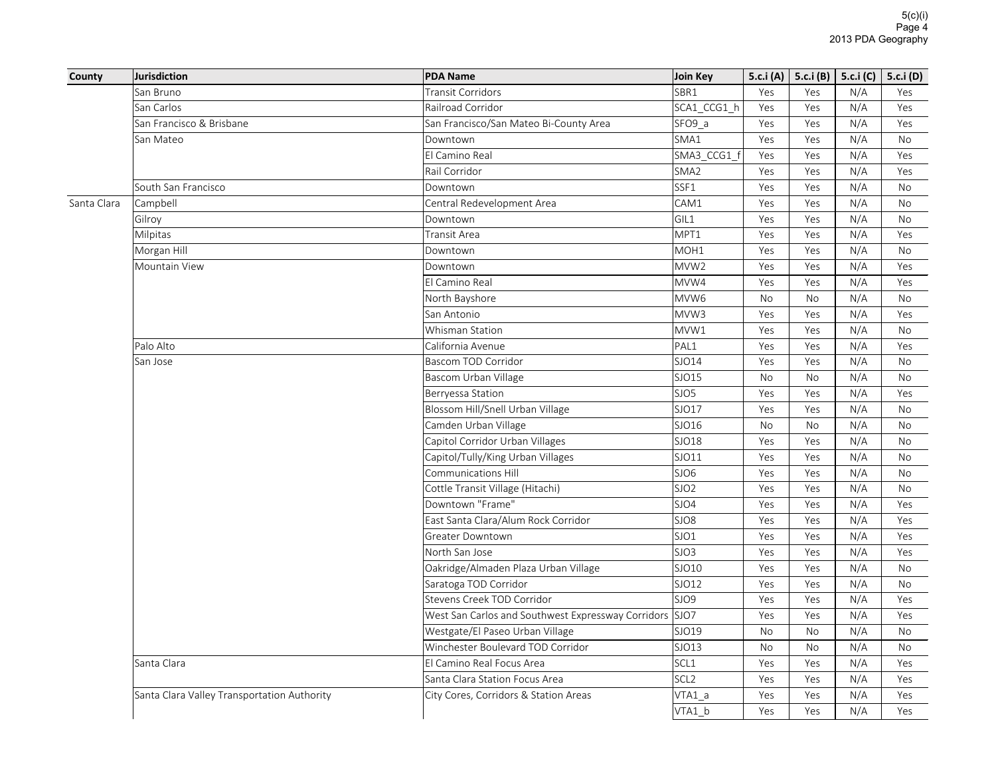| County      | Jurisdiction                                | <b>PDA Name</b>                                    | Join Key         |     | 5.c.i (A)   5.c.i (B)   5.c.i (C) |     | 5.c.i (D) |
|-------------|---------------------------------------------|----------------------------------------------------|------------------|-----|-----------------------------------|-----|-----------|
|             | San Bruno                                   | <b>Transit Corridors</b>                           | SBR1             | Yes | Yes                               | N/A | Yes       |
|             | San Carlos                                  | Railroad Corridor                                  | SCA1 CCG1 h      | Yes | Yes                               | N/A | Yes       |
|             | San Francisco & Brisbane                    | San Francisco/San Mateo Bi-County Area             | SFO9_a           | Yes | Yes                               | N/A | Yes       |
|             | San Mateo                                   | Downtown                                           | SMA1             | Yes | Yes                               | N/A | <b>No</b> |
|             |                                             | El Camino Real                                     | SMA3_CCG1_f      | Yes | Yes                               | N/A | Yes       |
|             |                                             | Rail Corridor                                      | SMA <sub>2</sub> | Yes | Yes                               | N/A | Yes       |
|             | South San Francisco                         | Downtown                                           | SSF1             | Yes | Yes                               | N/A | <b>No</b> |
| Santa Clara | Campbell                                    | Central Redevelopment Area                         | CAM1             | Yes | Yes                               | N/A | <b>No</b> |
|             | Gilroy                                      | Downtown                                           | GIL1             | Yes | Yes                               | N/A | <b>No</b> |
|             | Milpitas                                    | Transit Area                                       | MPT1             | Yes | Yes                               | N/A | Yes       |
|             | Morgan Hill                                 | Downtown                                           | MOH <sub>1</sub> | Yes | Yes                               | N/A | <b>No</b> |
|             | Mountain View                               | Downtown                                           | MVW2             | Yes | Yes                               | N/A | Yes       |
|             |                                             | El Camino Real                                     | MVW4             | Yes | Yes                               | N/A | Yes       |
|             |                                             | North Bayshore                                     | MVW6             | No  | No                                | N/A | <b>No</b> |
|             |                                             | San Antonio                                        | MVW3             | Yes | Yes                               | N/A | Yes       |
|             |                                             | Whisman Station                                    | MVW1             | Yes | Yes                               | N/A | No        |
|             | Palo Alto                                   | California Avenue                                  | PAL1             | Yes | Yes                               | N/A | Yes       |
|             | San Jose                                    | Bascom TOD Corridor                                | SJO14            | Yes | Yes                               | N/A | <b>No</b> |
|             |                                             | Bascom Urban Village                               | SJO15            | No  | <b>No</b>                         | N/A | <b>No</b> |
|             |                                             | Berryessa Station                                  | SJO5             | Yes | Yes                               | N/A | Yes       |
|             |                                             | Blossom Hill/Snell Urban Village                   | SJO17            | Yes | Yes                               | N/A | <b>No</b> |
|             |                                             | Camden Urban Village                               | SJO16            | No  | No                                | N/A | No        |
|             |                                             | Capitol Corridor Urban Villages                    | SJO18            | Yes | Yes                               | N/A | <b>No</b> |
|             |                                             | Capitol/Tully/King Urban Villages                  | SJO11            | Yes | Yes                               | N/A | No        |
|             |                                             | <b>Communications Hill</b>                         | SJO6             | Yes | Yes                               | N/A | <b>No</b> |
|             |                                             | Cottle Transit Village (Hitachi)                   | SJO <sub>2</sub> | Yes | Yes                               | N/A | No        |
|             |                                             | Downtown "Frame"                                   | SJO4             | Yes | Yes                               | N/A | Yes       |
|             |                                             | East Santa Clara/Alum Rock Corridor                | SJO8             | Yes | Yes                               | N/A | Yes       |
|             |                                             | Greater Downtown                                   | SJO1             | Yes | Yes                               | N/A | Yes       |
|             |                                             | North San Jose                                     | SJO3             | Yes | Yes                               | N/A | Yes       |
|             |                                             | Oakridge/Almaden Plaza Urban Village               | SJO10            | Yes | Yes                               | N/A | <b>No</b> |
|             |                                             | Saratoga TOD Corridor                              | SJO12            | Yes | Yes                               | N/A | No        |
|             |                                             | Stevens Creek TOD Corridor                         | SJO9             | Yes | Yes                               | N/A | Yes       |
|             |                                             | West San Carlos and Southwest Expressway Corridors | SJO7             | Yes | Yes                               | N/A | Yes       |
|             |                                             | Westgate/El Paseo Urban Village                    | SJO19            | No  | <b>No</b>                         | N/A | <b>No</b> |
|             |                                             | Winchester Boulevard TOD Corridor                  | SJO13            | No  | No                                | N/A | No        |
|             | Santa Clara                                 | El Camino Real Focus Area                          | SCL1             | Yes | Yes                               | N/A | Yes       |
|             |                                             | Santa Clara Station Focus Area                     | SCL <sub>2</sub> | Yes | Yes                               | N/A | Yes       |
|             | Santa Clara Valley Transportation Authority | City Cores, Corridors & Station Areas              | VTA1 a           | Yes | Yes                               | N/A | Yes       |
|             |                                             |                                                    | VTA1 b           | Yes | Yes                               | N/A | Yes       |